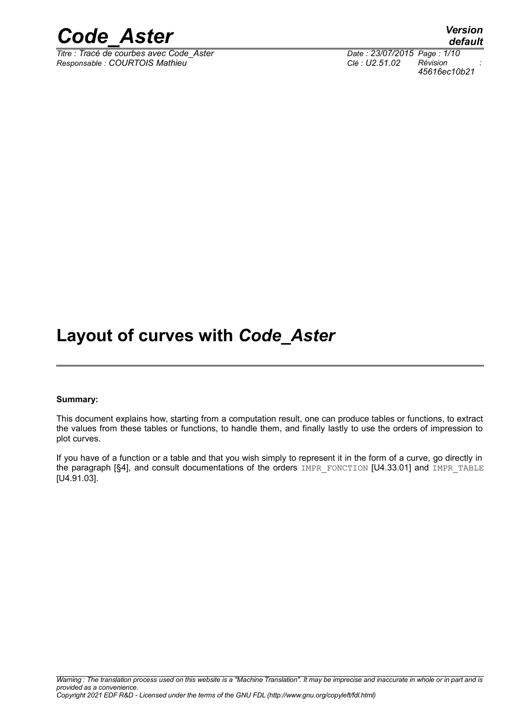

*Titre : Tracé de courbes avec Code\_Aster Date : 23/07/2015 Page : 1/10 Responsable : COURTOIS Mathieu Clé : U2.51.02 Révision :*

*default 45616ec10b21*

# **Layout of curves with** *Code\_Aster*

#### **Summary:**

This document explains how, starting from a computation result, one can produce tables or functions, to extract the values from these tables or functions, to handle them, and finally lastly to use the orders of impression to plot curves.

If you have of a function or a table and that you wish simply to represent it in the form of a curve, go directly in the paragraph [[§4\]](#page-5-0), and consult documentations of the orders IMPR\_FONCTION [U4.33.01] and IMPR\_TABLE [U4.91.03].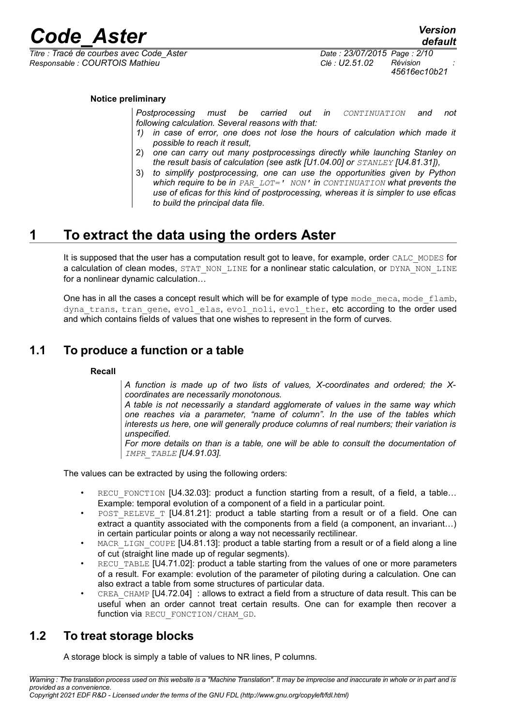

 $\overline{T}$ *Titre : Tracé de courbes avec Code Aster Responsable : COURTOIS Mathieu Clé : U2.51.02 Révision :*

#### **Notice preliminary**

*Postprocessing must be carried out in CONTINUATION and not following calculation. Several reasons with that:*

- *1) in case of error, one does not lose the hours of calculation which made it possible to reach it result,*
- 2) *one can carry out many postprocessings directly while launching Stanley on the result basis of calculation (see astk [U1.04.00] or STANLEY [U4.81.31]),*
- 3) *to simplify postprocessing, one can use the opportunities given by Python which require to be in PAR\_LOT=' NON' in CONTINUATION what prevents the use of eficas for this kind of postprocessing, whereas it is simpler to use eficas to build the principal data file.*

## **1 To extract the data using the orders Aster**

It is supposed that the user has a computation result got to leave, for example, order CALC\_MODES for a calculation of clean modes, STAT\_NON\_LINE for a nonlinear static calculation, or DYNA\_NON\_LINE for a nonlinear dynamic calculation…

One has in all the cases a concept result which will be for example of type mode meca, mode flamb, dyna trans, tran gene, evol elas, evol noli, evol ther, etc according to the order used and which contains fields of values that one wishes to represent in the form of curves.

#### **1.1 To produce a function or a table**

#### **Recall**

*A function is made up of two lists of values, X-coordinates and ordered; the Xcoordinates are necessarily monotonous.*

*A table is not necessarily a standard agglomerate of values in the same way which one reaches via a parameter, "name of column". In the use of the tables which interests us here, one will generally produce columns of real numbers; their variation is unspecified.*

*For more details on than is a table, one will be able to consult the documentation of IMPR\_TABLE [U4.91.03].*

The values can be extracted by using the following orders:

- RECU FONCTION [U4.32.03]: product a function starting from a result, of a field, a table… Example: temporal evolution of a component of a field in a particular point.
- POST\_RELEVE\_T [U4.81.21]: product a table starting from a result or of a field. One can extract a quantity associated with the components from a field (a component, an invariant...) in certain particular points or along a way not necessarily rectilinear.
- MACR\_LIGN\_COUPE [U4.81.13]: product a table starting from a result or of a field along a line of cut (straight line made up of regular segments).
- RECU\_TABLE [U4.71.02]: product a table starting from the values of one or more parameters of a result. For example: evolution of the parameter of piloting during a calculation. One can also extract a table from some structures of particular data.
- CREA CHAMP [U4.72.04] : allows to extract a field from a structure of data result. This can be useful when an order cannot treat certain results. One can for example then recover a function via RECU\_FONCTION/CHAM\_GD.

#### **1.2 To treat storage blocks**

A storage block is simply a table of values to NR lines, P columns.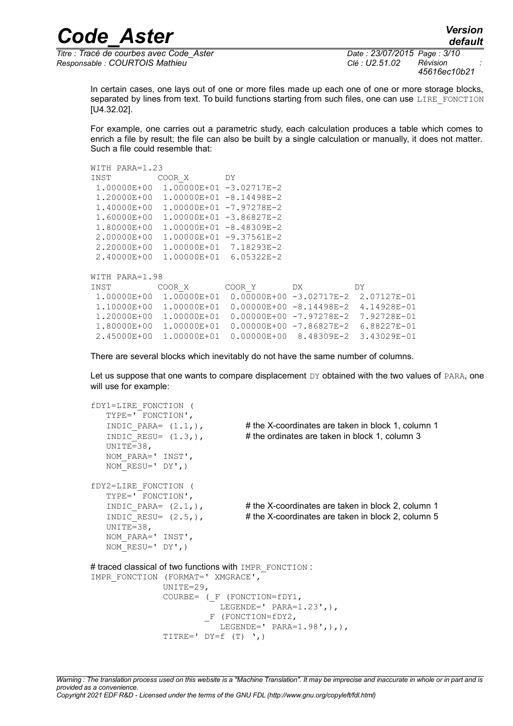*Titre : Tracé de courbes avec Code\_Aster Date : 23/07/2015 Page : 3/10 Responsable : COURTOIS Mathieu Clé : U2.51.02 Révision :*

*45616ec10b21*

*default*

In certain cases, one lays out of one or more files made up each one of one or more storage blocks, separated by lines from text. To build functions starting from such files, one can use LIRE\_FONCTION [U4.32.02].

For example, one carries out a parametric study, each calculation produces a table which comes to enrich a file by result; the file can also be built by a single calculation or manually, it does not matter. Such a file could resemble that:

```
WITH PARA=1.23
INST COOR X DY
  1.00000E+00 1.00000E+01 -3.02717E-2
  1.20000E+00 1.00000E+01 -8.14498E-2
  1.40000E+00 1.00000E+01 -7.97278E-2
  1.60000E+00 1.00000E+01 -3.86827E-2
 1.80000E+00 1.00000E+01 -8.48309E-2
 2.00000E+00 1.00000E+01 -9.37561E-2
 2.20000E+00 1.00000E+01 7.18293E-2
  2.40000E+00 1.00000E+01 6.05322E-2
WITH PARA=1.98
INST COOR X COOR Y DX DY
  1.00000E+00 1.00000E+01 0.00000E+00 -3.02717E-2 2.07127E-01
  1.10000E+00 1.00000E+01 0.00000E+00 -8.14498E-2 4.14928E-01
  1.20000E+00 1.00000E+01 0.00000E+00 -7.97278E-2 7.92728E-01
  1.80000E+00 1.00000E+01 0.00000E+00 -7.86827E-2 6.88227E-01
 2.45000E+00 1.00000E+01 0.00000E+00 8.48309E-2 3.43029E-01
```
There are several blocks which inevitably do not have the same number of columns.

Let us suppose that one wants to compare displacement  $DY$  obtained with the two values of PARA, one will use for example:

```
fDY1=LIRE_FONCTION (
   TYPE=' FONCTION',
   INDIC PARA= (1.1,), # the X-coordinates are taken in block 1, column 1
   INDIC RESU= (1.3,), # the ordinates are taken in block 1, column 3
    UNITE=38,
    NOM_PARA=' INST',
  NOMRESU=' DY',)
fDY2=LIRE_FONCTION (
    TYPE=' FONCTION',
   INDIC PARA= (2.1,), # the X-coordinates are taken in block 2, column 1
   INDIC RESU= (2.5,), # the X-coordinates are taken in block 2, column 5
   UNITE=38,
    NOM_PARA=' INST',
   NOM RESU=' DY',)
# traced classical of two functions with IMPR_FONCTION :
IMPR_FONCTION (FORMAT=' XMGRACE',
                UNITE=29,
               COURBE= (F (FONCTION=fDY1,
                          LEGENDE=' PARA=1.23',),
                         _F (FONCTION=fDY2,
                         LEGENDE=' PARA=1.98',),),
               TITRE=' DY=f(T) ',)
```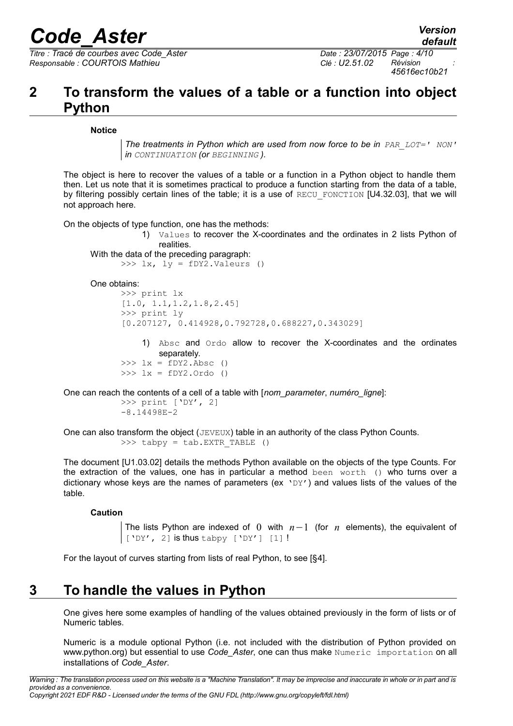*Titre : Tracé de courbes avec Code\_Aster Date : 23/07/2015 Page : 4/10 Responsable : COURTOIS Mathieu Clé : U2.51.02 Révision :*

*45616ec10b21*

## **2 To transform the values of a table or a function into object Python**

#### **Notice**

*The treatments in Python which are used from now force to be in PAR\_LOT=' NON' in CONTINUATION (or BEGINNING ).*

The object is here to recover the values of a table or a function in a Python object to handle them then. Let us note that it is sometimes practical to produce a function starting from the data of a table, by filtering possibly certain lines of the table; it is a use of RECU\_FONCTION [U4.32.03], that we will not approach here.

On the objects of type function, one has the methods:

1) Values to recover the X-coordinates and the ordinates in 2 lists Python of realities.

```
With the data of the preceding paragraph:
      \gg 1x, ly = fDY2.Valeurs ()
```
One obtains:

```
>>> print lx
[1.0, 1.1,1.2,1.8,2.45]
>>> print ly
[0.207127, 0.414928,0.792728,0.688227,0.343029]
```
1) Absc and Ordo allow to recover the X-coordinates and the ordinates separately.

```
\Rightarrow \geq \frac{1}{x} = fDY2.Absc ()
>>> lx = fDY2.Ordo ()
```
One can reach the contents of a cell of a table with [*nom\_parameter*, *numéro\_ligne*]:

```
>>> print ['DY', 2]
-8.14498E-2
```
One can also transform the object (JEVEUX) table in an authority of the class Python Counts. >>> tabpy = tab. EXTR TABLE ()

The document [U1.03.02] details the methods Python available on the objects of the type Counts. For the extraction of the values, one has in particular a method been worth () who turns over a dictionary whose keys are the names of parameters (ex  $YDY'$ ) and values lists of the values of the table.

#### **Caution**

The lists Python are indexed of 0 with *n*−1 (for *n* elements), the equivalent of ['DY', 2] is thus tabpy ['DY'] [1] !

For the layout of curves starting from lists of real Python, to see [§[4\]](#page-5-0).

## **3 To handle the values in Python**

One gives here some examples of handling of the values obtained previously in the form of lists or of Numeric tables.

Numeric is a module optional Python (i.e. not included with the distribution of Python provided on www.python.org) but essential to use *Code Aster*, one can thus make Numeric importation on all installations of *Code\_Aster*.

*Warning : The translation process used on this website is a "Machine Translation". It may be imprecise and inaccurate in whole or in part and is provided as a convenience. Copyright 2021 EDF R&D - Licensed under the terms of the GNU FDL (http://www.gnu.org/copyleft/fdl.html)*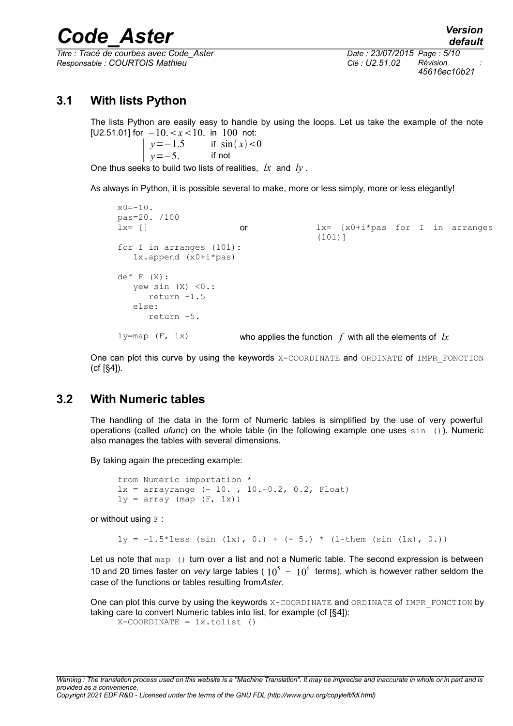*Titre : Tracé de courbes avec Code\_Aster Date : 23/07/2015 Page : 5/10 Responsable : COURTOIS Mathieu Clé : U2.51.02 Révision :*

*45616ec10b21*

#### **3.1 With lists Python**

The lists Python are easily easy to handle by using the loops. Let us take the example of the note [U2.51.01] for  $-10 \le x \le 10$ . in 100 not:

 $y=-1.5$  if  $\sin(x) < 0$  $y=-5$ . if not

One thus seeks to build two lists of realities, *lx* and *ly* .

As always in Python, it is possible several to make, more or less simply, more or less elegantly!

```
x0 = -10.
pas=20. /100
lx= [] or lx= [x0+i*pas for I in arranges
                                       (101)]
for I in arranges (101):
    lx.append (x0+i*pas)
def F (X):
   yew sin (X) < 0.:
      return -1.5
    else:
       return -5.
l<sub>y</sub>=map (F, l<sub>x</sub>) who applies the function f with all the elements of lx
```
One can plot this curve by using the keywords X-COORDINATE and ORDINATE of IMPR\_FONCTION (cf [[§4\]](#page-5-0)).

#### **3.2 With Numeric tables**

The handling of the data in the form of Numeric tables is simplified by the use of very powerful operations (called *ufunc*) on the whole table (in the following example one uses sin ()). Numeric also manages the tables with several dimensions.

By taking again the preceding example:

```
from Numeric importation *
lx = arrayrange (-10. , 10.+0.2, 0.2, Float)ly = array (map (F, lx))
```
or without using  $F$  :

```
ly = -1.5*less (sin (lx), 0.) + (-5.) * (1-them (sin (lx), 0.))
```
Let us note that  $map$  () turn over a list and not a Numeric table. The second expression is between 10 and 20 times faster on *very* large tables (  $10^5 - 10^6$  terms), which is however rather seldom the case of the functions or tables resulting from*Aster*.

One can plot this curve by using the keywords  $X-COORDINATE$  and ORDINATE of IMPR FONCTION by taking care to convert Numeric tables into list, for example (cf [[§4\]](#page-5-0)):  $X-COORDINATE = l x.tolist ()$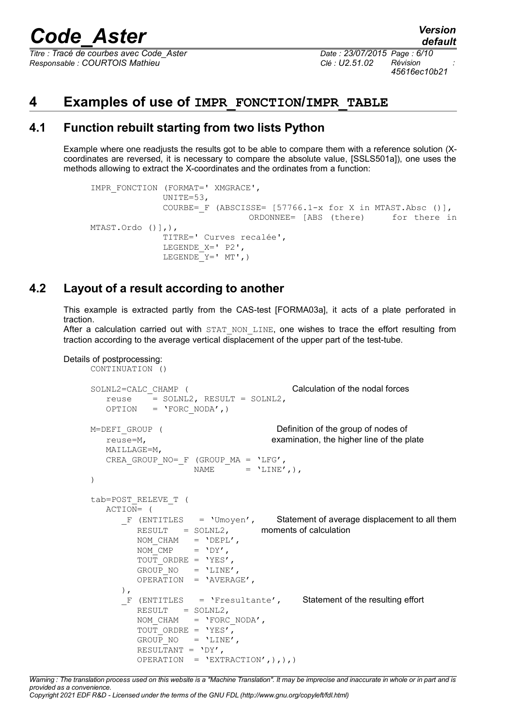*Titre : Tracé de courbes avec Code\_Aster Date : 23/07/2015 Page : 6/10 Responsable : COURTOIS Mathieu Clé : U2.51.02 Révision :*

*45616ec10b21*

### <span id="page-5-0"></span>**4 Examples of use of IMPR\_FONCTION/IMPR\_TABLE**

#### **4.1 Function rebuilt starting from two lists Python**

Example where one readjusts the results got to be able to compare them with a reference solution (Xcoordinates are reversed, it is necessary to compare the absolute value, [SSLS501a]), one uses the methods allowing to extract the X-coordinates and the ordinates from a function:

```
IMPR_FONCTION (FORMAT=' XMGRACE',
               UNITE=53,
              COURBE= F (ABSCISSE= [57766.1-x for X in MTAST.Absc ()],
                                ORDONNEE= [ABS (there) for there in
MTAST.Ordo ()],),
               TITRE=' Curves recalée',
               LEGENDE_X=' P2',
              LEGENDE Y=' MT', )
```
#### **4.2 Layout of a result according to another**

This example is extracted partly from the CAS-test [FORMA03a], it acts of a plate perforated in traction.

After a calculation carried out with STAT NON LINE, one wishes to trace the effort resulting from traction according to the average vertical displacement of the upper part of the test-tube.

```
Details of postprocessing:
```

```
CONTINUATION ()
SOLNL2=CALC_CHAMP ( Calculation of the nodal forces
   reuse = SOLNL2, RESULT = SOLNL2,
  OPTION = 'FORC NODA', )M=DEFI GROUP ( Definition of the group of nodes of
    reuse=M, examination, the higher line of the plate
    MAILLAGE=M,
   CREA GROUP NO= F (GROUP MA = 'LFG',
                  NAME = 'LINE', ),
)
tab=POST_RELEVE_T (
   ACTION= (
      F (ENTITLES = 'Umoyen', Statement of average displacement to all them
         RESULT = SOLNL2, moments of calculation
        NOM CHAM = 'DEFL',NOM CMP = VDY',
        TOUT ORDRE = 'YES',
        GROUP NO = 'LINE',
         OPERATION = 'AVERAGE',
      ),
      F (ENTITLES = 'Fresultante', Statement of the resulting effort
        RESULT = SOLNL2,NOM_CHAM = 'FORCNODA',
        TOUT ORDRE = 'YES',
        GROUP NO = 'LINE',
        RESULTANT = 'DY',
        OPERATION = 'EXTRACTION',),),
```
*Warning : The translation process used on this website is a "Machine Translation". It may be imprecise and inaccurate in whole or in part and is provided as a convenience.*

*Copyright 2021 EDF R&D - Licensed under the terms of the GNU FDL (http://www.gnu.org/copyleft/fdl.html)*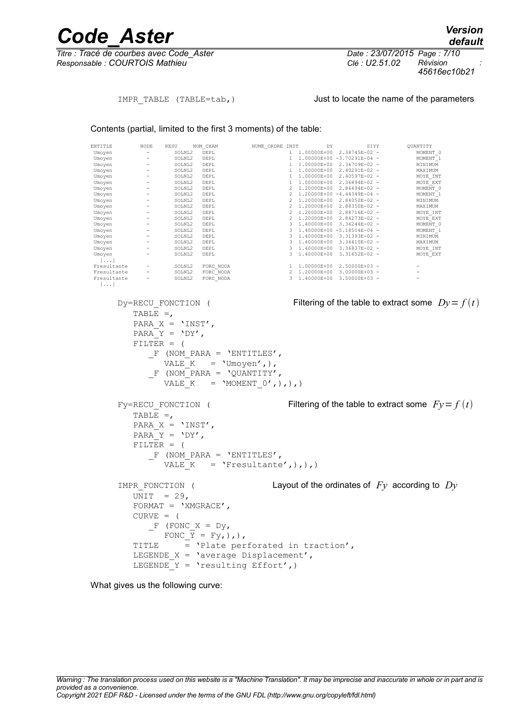*Titre : Tracé de courbes avec Code\_Aster Date : 23/07/2015 Page : 7/10 Responsable : COURTOIS Mathieu Clé : U2.51.02 Révision :*

*default 45616ec10b21*

#### IMPR TABLE (TABLE=tab, ) Just to locate the name of the parameters

Contents (partial, limited to the first 3 moments) of the table:

| ENTITLE<br>Umoyen<br>Umoyen<br>Umoyen<br>Umoyen<br>Umoyen<br>Umoyen<br>Umoyen<br>Umoyen<br>Umoyen<br>Umoyen<br>Umoyen<br>Umoyen<br>Umoyen<br>Umoyen<br>Umoyen<br>Umoyen<br>Umoyen<br>Umoyen<br>$[\ldots]$<br>Fresultante<br>Fresultante<br>Fresultante<br>$[\ldots]$                | NODE<br>$\sigma_{\rm{max}}$<br>$\alpha=1$<br>$\sim 10^{-1}$<br>$\sim$ | RESU<br>- SOLNL2 DEPL<br>SOLNL2 DEPL<br>- SOLNIL2 DEFL<br>- SOLNIL2 DEFL<br>- SOLNIL2 DEFL<br>- SOLNIL2 DEFL<br>- SOLNIL2 DEFL<br>- SOLNIL2 DEFL<br>- SOLNIL2 DEFL<br>- SOLNIL2 DEFL<br>- SOLNIL2 DEFL<br>- SOLNIL2 DEFL<br>- SOLNIL2 DEFL<br>- SOLNIL2 DEFL<br>- SOLNIL2 DEFL<br>- SOLNIL2 DEFL<br>- SOLNIL2 DE<br>SOLNL2 FORC_NODA<br>SOLNL2 FORC_NODA | NOM CHAM<br>SOLNL2 FORC NODA | NUME_ORDRE INST                                                                                                   |  | DY |  | SIYY<br>1 1.00000E+00 2.38745E-02 -<br>1 1.00000E+00 -3.70291E-04 -<br>1 1.00000E+00 2.36709E-02 -<br>1 1.00000E+00 2.40291E-02 -<br>1 1.00000E+00 2.40597E-02 -<br>1 1.00000E+00 2.36894E-02 -<br>2 1.20000E+00 2.86494E-02 -<br>2 1.20000E+00 -4.44349E-04 -<br>2 1.20000E+00 2.84050E-02 -<br>2 1.20000E+00 2.88350E-02 -<br>2 1.20000E+00 2.88716E-02 -<br>2 1.20000E+00 2.84273E-02 -<br>3 1.40000E+00 3.34244E-02 -<br>3 1.40000E+00 -5.18504E-04 -<br>3 1.40000E+00 3.31393E-02 -<br>3 1.40000E+00 3.36410E-02 -<br>3 1.40000E+00 3.36837E-02 -<br>3 1.40000E+00 3.31652E-02 -<br>1 1.00000E+00 2.50000E+03 -<br>2 1.20000E+00 3.00000E+03 -<br>3 1.40000E+00 3.50000E+03 - |  | QUANTITY<br>MOMENT 0<br>MOMENT 1<br>MINIMUM<br>MAXIMUM<br>MOYE INT<br>MOYE EXT<br>MOMENT 0<br>MOMENT_1<br>MINIMUM<br>MAXIMUM<br>MOYE INT<br>MOYE EXT<br>MOMENT 0<br>MOMENT 1<br>MINIMUM<br>MAXIMUM<br>MOYE INT<br>MOYE EXT<br>۰ |  |
|-------------------------------------------------------------------------------------------------------------------------------------------------------------------------------------------------------------------------------------------------------------------------------------|-----------------------------------------------------------------------|----------------------------------------------------------------------------------------------------------------------------------------------------------------------------------------------------------------------------------------------------------------------------------------------------------------------------------------------------------|------------------------------|-------------------------------------------------------------------------------------------------------------------|--|----|--|------------------------------------------------------------------------------------------------------------------------------------------------------------------------------------------------------------------------------------------------------------------------------------------------------------------------------------------------------------------------------------------------------------------------------------------------------------------------------------------------------------------------------------------------------------------------------------------------------------------------------------------------------------------------------------|--|---------------------------------------------------------------------------------------------------------------------------------------------------------------------------------------------------------------------------------|--|
| Filtering of the table to extract some $Dy = f(t)$<br>Dy=RECU FONCTION (<br>TABLE $=$ ,<br>PARA $X = 'INST'$ ,<br>PARA Y = $'DY',$<br>$FILTER = ($<br>$F$ (NOM PARA = 'ENTITLES',<br>VALE $K = 'Umoyen', )$ ,<br>F (NOM PARA = $\text{VQUANTITY}$ ,<br>VALE K = 'MOMENT_0', ), ), ) |                                                                       |                                                                                                                                                                                                                                                                                                                                                          |                              |                                                                                                                   |  |    |  |                                                                                                                                                                                                                                                                                                                                                                                                                                                                                                                                                                                                                                                                                    |  |                                                                                                                                                                                                                                 |  |
|                                                                                                                                                                                                                                                                                     | TABLE $=$ ,<br>$FILTER = ($                                           | Fy=RECU FONCTION (<br>PARA $X = 'INST',$<br>PARA Y = $'DY'$ ,                                                                                                                                                                                                                                                                                            |                              | $F$ (NOM PARA = 'ENTITLES',<br>VALE $K = 'Fresultante', ), ),$                                                    |  |    |  |                                                                                                                                                                                                                                                                                                                                                                                                                                                                                                                                                                                                                                                                                    |  | Filtering of the table to extract some $Fy = f(t)$                                                                                                                                                                              |  |
|                                                                                                                                                                                                                                                                                     | UNIT $= 29$ ,<br>$CURVE = ($<br>TITLE                                 | IMPR FONCTION (<br>FORMAT = $'XMGRACE'$ ,<br>$F$ (FONC X = Dy,                                                                                                                                                                                                                                                                                           | FONC $Y = Fy$ , ), ),        | = 'Plate perforated in traction',<br>LEGENDE $X = 'average Displacement',$<br>LEGENDE $Y = 'resulting Effect', )$ |  |    |  |                                                                                                                                                                                                                                                                                                                                                                                                                                                                                                                                                                                                                                                                                    |  | Layout of the ordinates of $F_y$ according to $D_y$                                                                                                                                                                             |  |

What gives us the following curve: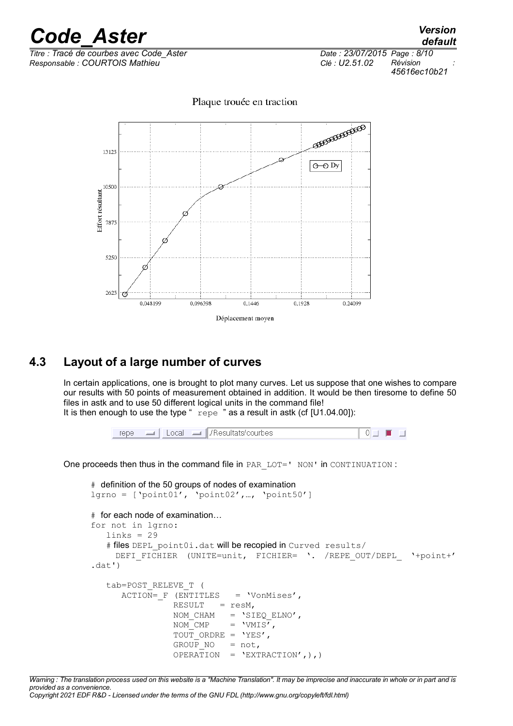# *Code\_Aster Version*<br>*Code\_Aster Version*<br>*Code de courbes avec Code Aster Date : 23/07/2015 Page : 8/10*

*Titre : Tracé de courbes avec Code\_Aster Date : 23/07/2015 Page : 8/10 Responsable : COURTOIS Mathieu Clé : U2.51.02 Révision :*

*default 45616ec10b21*

Plaque trouée en traction



### **4.3 Layout of a large number of curves**

In certain applications, one is brought to plot many curves. Let us suppose that one wishes to compare our results with 50 points of measurement obtained in addition. It would be then tiresome to define 50 files in astk and to use 50 different logical units in the command file! It is then enough to use the type "  $r = p$  as a result in astk (cf [U1.04.00]):

 $\Box$  | Local  $\Box$  | Aesultats/courbes  $\overline{\circ}$  of  $\Box$  and  $\Box$ repe

One proceeds then thus in the command file in PAR LOT=' NON' in CONTINUATION :

```
# definition of the 50 groups of nodes of examination
lgrno = ['point01', 'point02',…, 'point50']
# for each node of examination…
for not in lgrno:
   links = 29# files DEPL point0i.dat will be recopied in Curved results/
     DEFI_FICHIER (UNITE=unit, FICHIER= '. /REPE_OUT/DEPL '+point+'
.data') tab=POST_RELEVE_T (
      \overline{ACTION} = F (\overline{ENTITIES} = 'VonMises',RESULT = resM,
                  NOM CHAM = 'STEQELNO',
                  NOM<sup>-</sup>CMP = 'VMIS',
                  TOUT ORDRE = 'YES',
                  GROUP_NO = not,<br>OPERATION = 'EXT
                               = 'EXTRACTION',),)
```
*Warning : The translation process used on this website is a "Machine Translation". It may be imprecise and inaccurate in whole or in part and is provided as a convenience. Copyright 2021 EDF R&D - Licensed under the terms of the GNU FDL (http://www.gnu.org/copyleft/fdl.html)*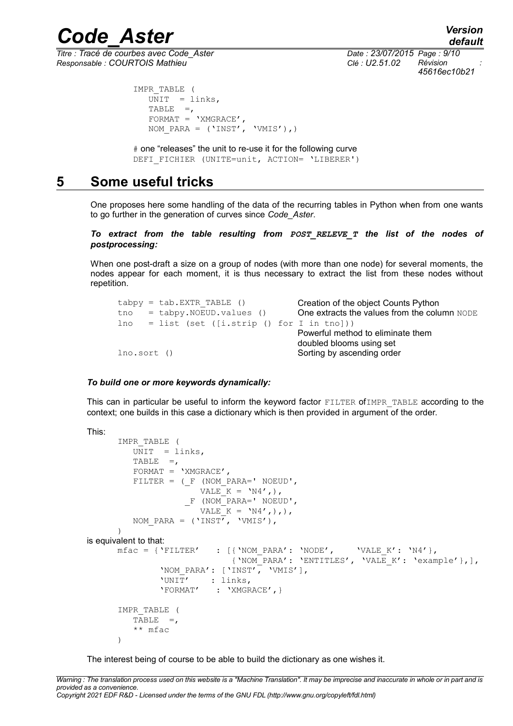*Titre : Tracé de courbes avec Code\_Aster Date : 23/07/2015 Page : 9/10 Responsable : COURTOIS Mathieu Clé : U2.51.02 Révision :*

*default 45616ec10b21*

```
 IMPR_TABLE (
  \overline{UNIT} = links,
   TABLE =,
   FORMAT = 'XMGRACE',NOM PARA = ('INST', 'VMIS'),)
```
 # one "releases" the unit to re-use it for the following curve DEFI\_FICHIER (UNITE=unit, ACTION= 'LIBERER')

## **5 Some useful tricks**

One proposes here some handling of the data of the recurring tables in Python when from one wants to go further in the generation of curves since *Code\_Aster*.

*To extract from the table resulting from POST\_RELEVE\_T the list of the nodes of postprocessing:*

When one post-draft a size on a group of nodes (with more than one node) for several moments, the nodes appear for each moment, it is thus necessary to extract the list from these nodes without repetition.

```
tabpy = tab.EXTR TABLE () Creation of the object Counts Python
tho = tabpy.NOEUD.values () One extracts the values from the column NODE
lno = list (set ([i.strip () for I in tn]))Powerful method to eliminate them
                                  doubled blooms using set
Ino.sort () Sorting by ascending order
```
#### *To build one or more keywords dynamically:*

This can in particular be useful to inform the keyword factor FILTER ofIMPR\_TABLE according to the context; one builds in this case a dictionary which is then provided in argument of the order.

```
This:
       IMPR_TABLE (
         U\overline{N}IT = Iinks.TABLE =,
          FORMAT = 'XMGRACE',FILTER = (F \t{NOM} PARA = ' NOEUD',VALE K = 'N4',),
                       _F (NOM_PARA=' NOEUD',
                        VALE K = \text{VN4}',),),
           NOM_PARA = ('INST', 'VMIS'),
      \lambdais equivalent to that:
      mfac = {'FILTER' : [('NOM PARA': 'NODE', 'VALE K': 'N4']}, {'NOM_PARA': 'ENTITLES', 'VALE_K': 'example'},],
                'NOM_PARA': ['INST', 'VMIS'],
                'UNIT' : links,<br>'FORMAT' : 'XMGR
                            : 'XMGRACE', }
       IMPR_TABLE (
          TABLE = ** mfac
       )
```
The interest being of course to be able to build the dictionary as one wishes it.